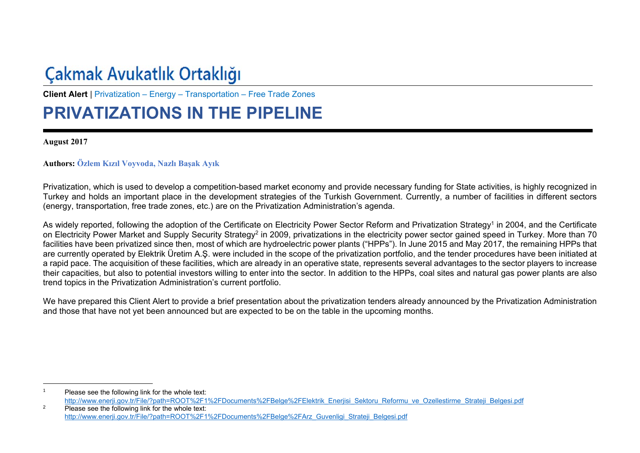# Çakmak Avukatlık Ortaklığı

**Client Alert** | Privatization – Energy – Transportation – Free Trade Zones

## **PRIVATIZATIONS IN THE PIPELINE**

**August 2017** 

### **Authors: Özlem Kızıl Voyvoda, Nazlı Başak Ayık**

Privatization, which is used to develop a competition-based market economy and provide necessary funding for State activities, is highly recognized in Turkey and holds an important place in the development strategies of the Turkish Government. Currently, a number of facilities in different sectors (energy, transportation, free trade zones, etc.) are on the Privatization Administration's agenda.

As widely reported, following the adoption of the Certificate on Electricity Power Sector Reform and Privatization Strategy1 in 2004, and the Certificate on Electricity Power Market and Supply Security Strategy<sup>2</sup> in 2009, privatizations in the electricity power sector gained speed in Turkey. More than 70 facilities have been privatized since then, most of which are hydroelectric power plants ("HPPs"). In June 2015 and May 2017, the remaining HPPs that are currently operated by Elektrik Üretim A.Ş. were included in the scope of the privatization portfolio, and the tender procedures have been initiated at a rapid pace. The acquisition of these facilities, which are already in an operative state, represents several advantages to the sector players to increase their capacities, but also to potential investors willing to enter into the sector. In addition to the HPPs, coal sites and natural gas power plants are also trend topics in the Privatization Administration's current portfolio.

We have prepared this Client Alert to provide a brief presentation about the privatization tenders already announced by the Privatization Administration and those that have not yet been announced but are expected to be on the table in the upcoming months.

<sup>1</sup> Please see the following link for the whole text: http://www.enerji.gov.tr/File/?path=ROOT%2F1%2FDocuments%2FBelge%2FElektrik\_Enerjisi\_Sektoru\_Reformu\_ve\_Ozellestirme\_Strateji\_Belgesi.pdf

<sup>&</sup>lt;sup>2</sup> Please see the following link for the whole text: http://www.enerji.gov.tr/File/?path=ROOT%2F1%2FDocuments%2FBelge%2FArz\_Guvenligi\_Strateji\_Belgesi.pdf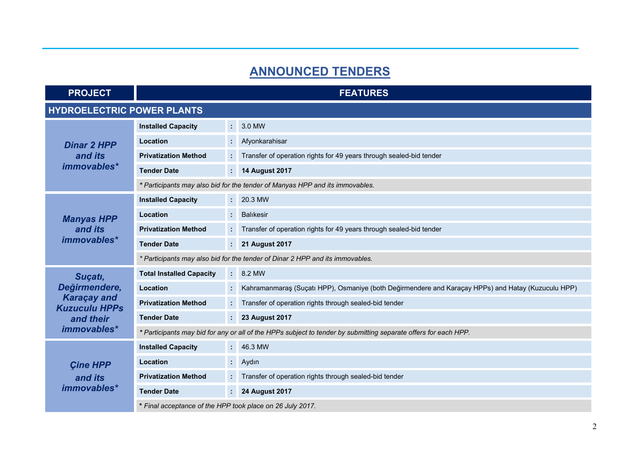## **ANNOUNCED TENDERS**

| <b>PROJECT</b>                               | <b>FEATURES</b>                                                                                                 |                     |                                                                                                    |  |  |
|----------------------------------------------|-----------------------------------------------------------------------------------------------------------------|---------------------|----------------------------------------------------------------------------------------------------|--|--|
| <b>HYDROELECTRIC POWER PLANTS</b>            |                                                                                                                 |                     |                                                                                                    |  |  |
| <b>Dinar 2 HPP</b><br>and its<br>immovables* | <b>Installed Capacity</b>                                                                                       | ÷                   | 3.0 MW                                                                                             |  |  |
|                                              | Location                                                                                                        | ÷.                  | Afyonkarahisar                                                                                     |  |  |
|                                              | <b>Privatization Method</b>                                                                                     | ÷                   | Transfer of operation rights for 49 years through sealed-bid tender                                |  |  |
|                                              | <b>Tender Date</b>                                                                                              |                     | <b>14 August 2017</b>                                                                              |  |  |
|                                              | * Participants may also bid for the tender of Manyas HPP and its immovables.                                    |                     |                                                                                                    |  |  |
| <b>Manyas HPP</b><br>and its<br>immovables*  | <b>Installed Capacity</b>                                                                                       | $\mathcal{L}^{\pm}$ | 20.3 MW                                                                                            |  |  |
|                                              | Location                                                                                                        |                     | <b>Balikesir</b>                                                                                   |  |  |
|                                              | <b>Privatization Method</b>                                                                                     |                     | Transfer of operation rights for 49 years through sealed-bid tender                                |  |  |
|                                              | <b>Tender Date</b>                                                                                              | ÷                   | <b>21 August 2017</b>                                                                              |  |  |
|                                              | * Participants may also bid for the tender of Dinar 2 HPP and its immovables.                                   |                     |                                                                                                    |  |  |
| Suçatı,                                      | <b>Total Installed Capacity</b>                                                                                 |                     | $: 8.2$ MW                                                                                         |  |  |
| Değirmendere,                                | Location                                                                                                        |                     | Kahramanmaraş (Suçatı HPP), Osmaniye (both Değirmendere and Karaçay HPPs) and Hatay (Kuzuculu HPP) |  |  |
| <b>Karaçay and</b><br><b>Kuzuculu HPPs</b>   | <b>Privatization Method</b>                                                                                     | ÷.                  | Transfer of operation rights through sealed-bid tender                                             |  |  |
| and their<br>immovables*                     | <b>Tender Date</b>                                                                                              | ÷.                  | <b>23 August 2017</b>                                                                              |  |  |
|                                              | * Participants may bid for any or all of the HPPs subject to tender by submitting separate offers for each HPP. |                     |                                                                                                    |  |  |
| <b>Cine HPP</b><br>and its<br>immovables*    | <b>Installed Capacity</b>                                                                                       |                     | $: 46.3$ MW                                                                                        |  |  |
|                                              | Location                                                                                                        | £,                  | Aydın                                                                                              |  |  |
|                                              | <b>Privatization Method</b>                                                                                     |                     | Transfer of operation rights through sealed-bid tender                                             |  |  |
|                                              | <b>Tender Date</b>                                                                                              | ÷                   | <b>24 August 2017</b>                                                                              |  |  |
|                                              | * Final acceptance of the HPP took place on 26 July 2017.                                                       |                     |                                                                                                    |  |  |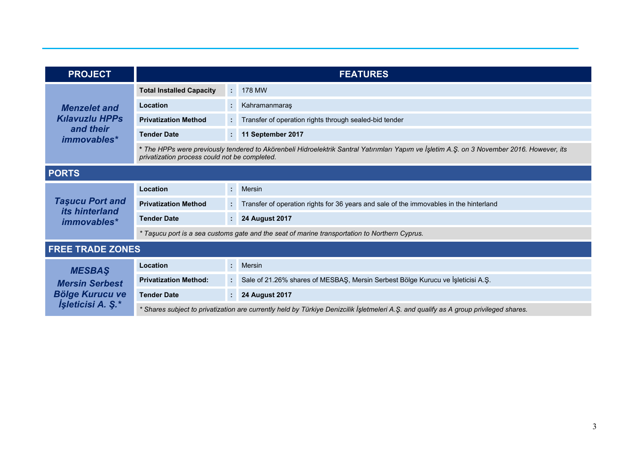| <b>PROJECT</b>                                                                                      | <b>FEATURES</b>                                                                                                                                                                             |    |                                                                                        |  |
|-----------------------------------------------------------------------------------------------------|---------------------------------------------------------------------------------------------------------------------------------------------------------------------------------------------|----|----------------------------------------------------------------------------------------|--|
| <b>Menzelet and</b><br><b>Kılavuzlu HPPs</b><br>and their<br><i>immovables*</i>                     | <b>Total Installed Capacity</b>                                                                                                                                                             |    | 178 MW                                                                                 |  |
|                                                                                                     | Location                                                                                                                                                                                    |    | Kahramanmaraş                                                                          |  |
|                                                                                                     | <b>Privatization Method</b>                                                                                                                                                                 |    | Transfer of operation rights through sealed-bid tender                                 |  |
|                                                                                                     | <b>Tender Date</b>                                                                                                                                                                          | ÷. | 11 September 2017                                                                      |  |
|                                                                                                     | * The HPPs were previously tendered to Akörenbeli Hidroelektrik Santral Yatırımları Yapım ve İşletim A.Ş. on 3 November 2016. However, its<br>privatization process could not be completed. |    |                                                                                        |  |
| <b>PORTS</b>                                                                                        |                                                                                                                                                                                             |    |                                                                                        |  |
| <b>Taşucu Port and</b><br><i>its hinterland</i><br><i>immovables*</i>                               | Location                                                                                                                                                                                    |    | : Mersin                                                                               |  |
|                                                                                                     | <b>Privatization Method</b>                                                                                                                                                                 |    | Transfer of operation rights for 36 years and sale of the immovables in the hinterland |  |
|                                                                                                     | <b>Tender Date</b>                                                                                                                                                                          | ÷  | <b>24 August 2017</b>                                                                  |  |
|                                                                                                     | * Taşucu port is a sea customs gate and the seat of marine transportation to Northern Cyprus.                                                                                               |    |                                                                                        |  |
| <b>FREE TRADE ZONES</b>                                                                             |                                                                                                                                                                                             |    |                                                                                        |  |
| <b>MESBAS</b><br><b>Mersin Serbest</b><br><b>Bölge Kurucu ve</b><br><i><b>İşleticisi A. Ş.*</b></i> | Location                                                                                                                                                                                    | ÷. | Mersin                                                                                 |  |
|                                                                                                     | <b>Privatization Method:</b>                                                                                                                                                                |    | Sale of 21.26% shares of MESBAŞ, Mersin Serbest Bölge Kurucu ve İşleticisi A.Ş.        |  |
|                                                                                                     | <b>Tender Date</b>                                                                                                                                                                          |    | <b>24 August 2017</b>                                                                  |  |
|                                                                                                     | * Shares subject to privatization are currently held by Türkiye Denizcilik İşletmeleri A.Ş. and qualify as A group privileged shares.                                                       |    |                                                                                        |  |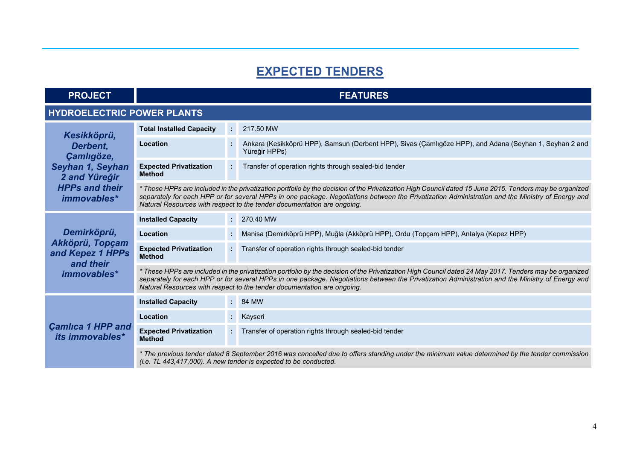## **EXPECTED TENDERS**

| <b>PROJECT</b> |  |
|----------------|--|
|                |  |
|                |  |

#### **FEATURES**

#### **HYDROELECTRIC POWER PLANTS**

| Kesikköprü,<br>Derbent,<br>Çamlıgöze,<br>Seyhan 1, Seyhan<br>2 and Yüreğir<br><b>HPPs and their</b><br>immovables* | <b>Total Installed Capacity</b>                                                                                                                                                                                                                                                                                                                                                        |    | 217.50 MW                                                                                                                |  |
|--------------------------------------------------------------------------------------------------------------------|----------------------------------------------------------------------------------------------------------------------------------------------------------------------------------------------------------------------------------------------------------------------------------------------------------------------------------------------------------------------------------------|----|--------------------------------------------------------------------------------------------------------------------------|--|
|                                                                                                                    | Location                                                                                                                                                                                                                                                                                                                                                                               | ÷. | Ankara (Kesikköprü HPP), Samsun (Derbent HPP), Sivas (Çamlıgöze HPP), and Adana (Seyhan 1, Seyhan 2 and<br>Yüreğir HPPs) |  |
|                                                                                                                    | <b>Expected Privatization</b><br><b>Method</b>                                                                                                                                                                                                                                                                                                                                         | t. | Transfer of operation rights through sealed-bid tender                                                                   |  |
|                                                                                                                    | * These HPPs are included in the privatization portfolio by the decision of the Privatization High Council dated 15 June 2015. Tenders may be organized<br>separately for each HPP or for several HPPs in one package. Negotiations between the Privatization Administration and the Ministry of Energy and<br>Natural Resources with respect to the tender documentation are ongoing. |    |                                                                                                                          |  |
| Demirköprü,<br>Akköprü, Topçam<br>and Kepez 1 HPPs<br>and their<br>immovables*                                     | <b>Installed Capacity</b>                                                                                                                                                                                                                                                                                                                                                              |    | $: 270.40$ MW                                                                                                            |  |
|                                                                                                                    | Location                                                                                                                                                                                                                                                                                                                                                                               | ÷. | Manisa (Demirköprü HPP), Muğla (Akköprü HPP), Ordu (Topçam HPP), Antalya (Kepez HPP)                                     |  |
|                                                                                                                    | <b>Expected Privatization</b><br><b>Method</b>                                                                                                                                                                                                                                                                                                                                         |    | : Transfer of operation rights through sealed-bid tender                                                                 |  |
|                                                                                                                    | * These HPPs are included in the privatization portfolio by the decision of the Privatization High Council dated 24 May 2017. Tenders may be organized<br>separately for each HPP or for several HPPs in one package. Negotiations between the Privatization Administration and the Ministry of Energy and<br>Natural Resources with respect to the tender documentation are ongoing.  |    |                                                                                                                          |  |
| <b>Camlica 1 HPP and</b><br><i>its immovables*</i>                                                                 | <b>Installed Capacity</b>                                                                                                                                                                                                                                                                                                                                                              |    | $: 84$ MW                                                                                                                |  |
|                                                                                                                    | Location                                                                                                                                                                                                                                                                                                                                                                               |    | : Kayseri                                                                                                                |  |
|                                                                                                                    | <b>Expected Privatization</b><br><b>Method</b>                                                                                                                                                                                                                                                                                                                                         |    | Transfer of operation rights through sealed-bid tender                                                                   |  |
|                                                                                                                    | * The previous tender dated 8 September 2016 was cancelled due to offers standing under the minimum value determined by the tender commission<br>(i.e. TL 443,417,000). A new tender is expected to be conducted.                                                                                                                                                                      |    |                                                                                                                          |  |